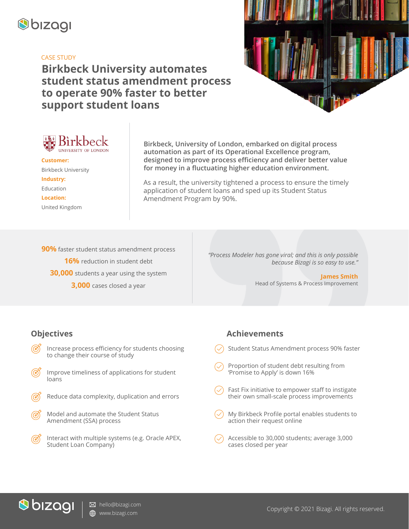

#### CASE STUDY

# **Birkbeck University automates student status amendment process to operate 90% faster to better support student loans**





**Customer:** Birkbeck University **Industry:** Education **Location:** United Kingdom

**Birkbeck, University of London, embarked on digital process automation as part of its Operational Excellence program, designed to improve process efficiency and deliver better value for money in a fluctuating higher education environment.** 

As a result, the university tightened a process to ensure the timely application of student loans and sped up its Student Status Amendment Program by 90%.

**90%** faster student status amendment process **16%** reduction in student debt **30,000** students a year using the system **3,000** cases closed a year

*"Process Modeler has gone viral; and this is only possible because Bizagi is so easy to use."*

> **James Smith** Head of Systems & Process Improvement

### **Objectives**

- Increase process efficiency for students choosing to change their course of study
- Improve timeliness of applications for student loans
- Reduce data complexity, duplication and errors
- Model and automate the Student Status Amendment (SSA) process
- Interact with multiple systems (e.g. Oracle APEX, Student Loan Company)

### **Achievements**

- Student Status Amendment process 90% faster
- Proportion of student debt resulting from 'Promise to Apply' is down 16%
- Fast Fix initiative to empower staff to instigate their own small-scale process improvements
- My Birkbeck Profile portal enables students to action their request online
- Accessible to 30,000 students; average 3,000 cases closed per year